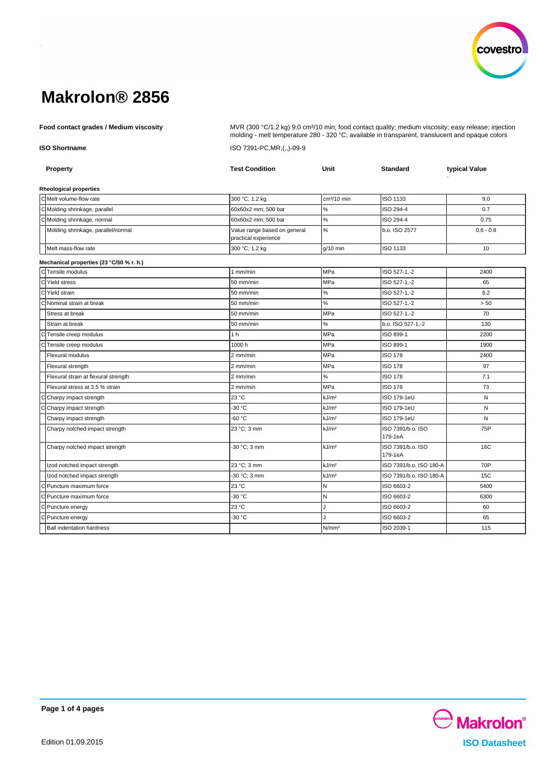

**Food contact grades / Medium viscosity** MVR (300 °C/1.2 kg) 9.0 cm<sup>3</sup>/10 min; food contact quality; medium viscosity; easy release; injection molding - melt temperature 280 - 320 °C; available in transparent, translucent and opaque colors **ISO Shortname** ISO 7391-PC,MR,(,,)-09-9

| Property                                 | <b>Test Condition</b>                                | Unit                    | <b>Standard</b>              | typical Value |  |  |  |
|------------------------------------------|------------------------------------------------------|-------------------------|------------------------------|---------------|--|--|--|
| <b>Rheological properties</b>            |                                                      |                         |                              |               |  |  |  |
| C Melt volume-flow rate                  | 300 °C; 1.2 kg                                       | cm <sup>3</sup> /10 min | <b>ISO 1133</b>              | 9.0           |  |  |  |
| C Molding shrinkage, parallel            | 60x60x2 mm; 500 bar                                  | $\%$                    | ISO 294-4                    | 0.7           |  |  |  |
| CMolding shrinkage, normal               | 160x60x2 mm: 500 bar                                 | $\%$                    | ISO 294-4                    | 0.75          |  |  |  |
| Molding shrinkage, parallel/normal       | Value range based on general<br>practical experience | $\%$                    | b.o. ISO 2577                | $0.6 - 0.8$   |  |  |  |
| Melt mass-flow rate                      | 300 °C; 1.2 kg                                       | $g/10$ min              | ISO 1133                     | 10            |  |  |  |
| Mechanical properties (23 °C/50 % r. h.) |                                                      |                         |                              |               |  |  |  |
| CTensile modulus                         | 1 mm/min                                             | MPa                     | ISO 527-1,-2                 | 2400          |  |  |  |
| C Yield stress                           | 50 mm/min                                            | MPa                     | ISO 527-1,-2                 | 65            |  |  |  |
| C Yield strain                           | 50 mm/min                                            | $\%$                    | ISO 527-1,-2                 | 6.2           |  |  |  |
| C Nominal strain at break                | 50 mm/min                                            | $\%$                    | ISO 527-1,-2                 | > 50          |  |  |  |
| Stress at break                          | 50 mm/min                                            | MPa                     | ISO 527-1,-2                 | 70            |  |  |  |
| Strain at break                          | 50 mm/min                                            | $\%$                    | b.o. ISO 527-1,-2            | 130           |  |  |  |
| Tensile creep modulus<br>C               | 1 <sub>h</sub>                                       | MPa                     | ISO 899-1                    | 2200          |  |  |  |
| Tensile creep modulus                    | 1000 h                                               | MPa                     | ISO 899-1                    | 1900          |  |  |  |
| Flexural modulus                         | 2 mm/min                                             | MPa                     | <b>ISO 178</b>               | 2400          |  |  |  |
| Flexural strength                        | 2 mm/min                                             | MPa                     | <b>ISO 178</b>               | 97            |  |  |  |
| Flexural strain at flexural strength     | 2 mm/min                                             | %                       | <b>ISO 178</b>               | 7.1           |  |  |  |
| Flexural stress at 3.5 % strain          | 2 mm/min                                             | MPa                     | <b>ISO 178</b>               | 73            |  |  |  |
| Charpy impact strength<br>۰CI.           | 23 °C                                                | kJ/m <sup>2</sup>       | ISO 179-1eU                  | N             |  |  |  |
| Charpy impact strength                   | -30 °C                                               | kJ/m <sup>2</sup>       | ISO 179-1eU                  | ${\sf N}$     |  |  |  |
| Charpy impact strength                   | -60 °C                                               | kJ/m <sup>2</sup>       | ISO 179-1eU                  | N             |  |  |  |
| Charpy notched impact strength           | 23 °C; 3 mm                                          | kJ/m <sup>2</sup>       | ISO 7391/b.o. ISO<br>179-1eA | 75P           |  |  |  |
| Charpy notched impact strength           | -30 °C; 3 mm                                         | kJ/m <sup>2</sup>       | ISO 7391/b.o. ISO<br>179-1eA | 16C           |  |  |  |
| Izod notched impact strength             | 23 °C; 3 mm                                          | kJ/m <sup>2</sup>       | ISO 7391/b.o. ISO 180-A      | 70P           |  |  |  |
| Izod notched impact strength             | -30 °C: 3 mm                                         | kJ/m <sup>2</sup>       | ISO 7391/b.o. ISO 180-A      | 15C           |  |  |  |
| C Puncture maximum force                 | 23 °C                                                | N                       | ISO 6603-2                   | 5400          |  |  |  |
| C Puncture maximum force                 | -30 °C                                               | N                       | ISO 6603-2                   | 6300          |  |  |  |
| C Puncture energy                        | 23 °C                                                | J.                      | ISO 6603-2                   | 60            |  |  |  |
| C Puncture energy                        | -30 °C                                               |                         | ISO 6603-2                   | 65            |  |  |  |
| <b>Ball indentation hardness</b>         |                                                      | N/mm <sup>2</sup>       | ISO 2039-1                   | 115           |  |  |  |

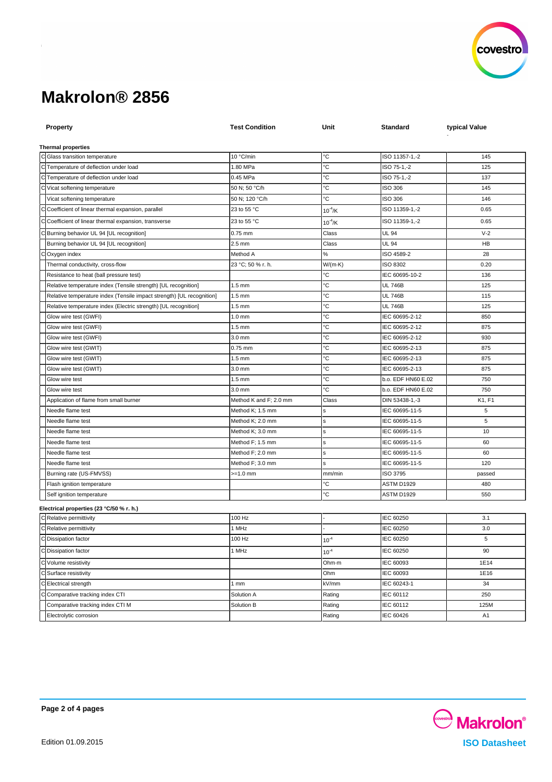

| <b>Property</b>                                                       | <b>Test Condition</b>  | Unit         | <b>Standard</b>    | typical Value  |
|-----------------------------------------------------------------------|------------------------|--------------|--------------------|----------------|
|                                                                       |                        |              |                    |                |
| <b>Thermal properties</b>                                             |                        |              |                    |                |
| C Glass transition temperature                                        | 10 °C/min              | °C           | ISO 11357-1,-2     | 145            |
| C Temperature of deflection under load                                | 1.80 MPa               | °С           | ISO 75-1,-2        | 125            |
| C Temperature of deflection under load                                | 0.45 MPa               | °С           | ISO 75-1,-2        | 137            |
| Vicat softening temperature                                           | 50 N: 50 °C/h          | °С           | ISO 306            | 145            |
| Vicat softening temperature                                           | 50 N; 120 °C/h         | °C           | ISO 306            | 146            |
| Coefficient of linear thermal expansion, parallel                     | 23 to 55 °C            | $10^{-4}$ /K | ISO 11359-1,-2     | 0.65           |
| Coefficient of linear thermal expansion, transverse                   | 23 to 55 °C            | $10^{-4}$ /K | ISO 11359-1,-2     | 0.65           |
| Burning behavior UL 94 [UL recognition]                               | 0.75 mm                | Class        | <b>UL 94</b>       | $V-2$          |
| Burning behavior UL 94 [UL recognition]                               | $2.5$ mm               | Class        | <b>UL 94</b>       | HB             |
| Oxygen index                                                          | Method A               | $\%$         | ISO 4589-2         | 28             |
| Thermal conductivity, cross-flow                                      | 23 °C; 50 % r. h.      | W/(m-K)      | ISO 8302           | 0.20           |
| Resistance to heat (ball pressure test)                               |                        | °C           | IEC 60695-10-2     | 136            |
| Relative temperature index (Tensile strength) [UL recognition]        | $1.5$ mm               | °C           | <b>UL 746B</b>     | 125            |
| Relative temperature index (Tensile impact strength) [UL recognition] | $1.5 \text{ mm}$       | °C           | <b>UL 746B</b>     | 115            |
| Relative temperature index (Electric strength) [UL recognition]       | $1.5$ mm               | °С           | <b>UL 746B</b>     | 125            |
| Glow wire test (GWFI)                                                 | $1.0$ mm               | °C           | IEC 60695-2-12     | 850            |
| Glow wire test (GWFI)                                                 | $1.5$ mm               | °C           | IEC 60695-2-12     | 875            |
| Glow wire test (GWFI)                                                 | 3.0 mm                 | °C           | IEC 60695-2-12     | 930            |
| Glow wire test (GWIT)                                                 | $0.75$ mm              | °С           | IEC 60695-2-13     | 875            |
| Glow wire test (GWIT)                                                 | $1.5 \text{ mm}$       | °C           | IEC 60695-2-13     | 875            |
| Glow wire test (GWIT)                                                 | 3.0 mm                 | °C           | IEC 60695-2-13     | 875            |
| Glow wire test                                                        | $1.5 \text{ mm}$       | °C           | b.o. EDF HN60 E.02 | 750            |
| Glow wire test                                                        | 3.0 mm                 | °С           | b.o. EDF HN60 E.02 | 750            |
| Application of flame from small burner                                | Method K and F; 2.0 mm | Class        | DIN 53438-1,-3     | K1, F1         |
| Needle flame test                                                     | Method K; 1.5 mm       | s            | IEC 60695-11-5     | 5              |
| Needle flame test                                                     | Method K; 2.0 mm       | s            | IEC 60695-11-5     | 5              |
| Needle flame test                                                     | Method K; 3.0 mm       | s            | IEC 60695-11-5     | 10             |
| Needle flame test                                                     | Method F; 1.5 mm       | s            | IEC 60695-11-5     | 60             |
| Needle flame test                                                     | Method F; 2.0 mm       | s            | IEC 60695-11-5     | 60             |
| Needle flame test                                                     | Method F; 3.0 mm       | s            | IEC 60695-11-5     | 120            |
| Burning rate (US-FMVSS)                                               | >=1.0 mm               | mm/min       | ISO 3795           | passed         |
| Flash ignition temperature                                            |                        | °C           | ASTM D1929         | 480            |
| Self ignition temperature                                             |                        | °С           | ASTM D1929         | 550            |
| Electrical properties (23 °C/50 % r. h.)                              |                        |              |                    |                |
| C Relative permittivity                                               | 100 Hz                 |              | IEC 60250          | 3.1            |
| C Relative permittivity                                               | 1 MHz                  |              | IEC 60250          | 3.0            |
| C Dissipation factor                                                  | 100 Hz                 | $10^{-4}$    | IEC 60250          | 5              |
| C Dissipation factor                                                  | 1 MHz                  | $10^{-4}$    | IEC 60250          | 90             |
| C Volume resistivity                                                  |                        | Ohm-m        | IEC 60093          | 1E14           |
| C Surface resistivity                                                 |                        | Ohm          | IEC 60093          | 1E16           |
| C Electrical strength                                                 | 1mm                    | kV/mm        | IEC 60243-1        | 34             |
| Comparative tracking index CTI                                        | Solution A             | Rating       | IEC 60112          | 250            |
| Comparative tracking index CTI M                                      | Solution B             | Rating       | IEC 60112          | 125M           |
| Electrolytic corrosion                                                |                        | Rating       | IEC 60426          | A <sub>1</sub> |
|                                                                       |                        |              |                    |                |

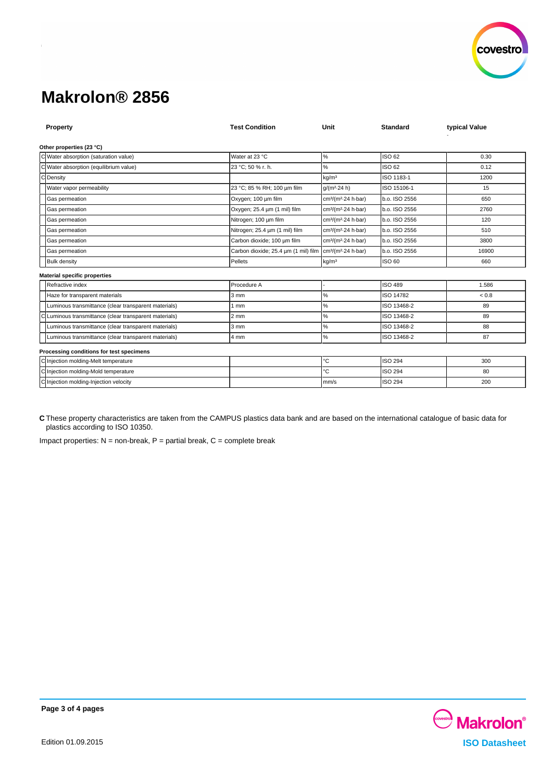

| Property                                             | <b>Test Condition</b>                                                             | Unit                                        | <b>Standard</b> | typical Value |  |  |  |
|------------------------------------------------------|-----------------------------------------------------------------------------------|---------------------------------------------|-----------------|---------------|--|--|--|
| Other properties (23 °C)                             |                                                                                   |                                             |                 |               |  |  |  |
| C Water absorption (saturation value)                | Water at 23 °C                                                                    | $\%$                                        | ISO 62          | 0.30          |  |  |  |
| Water absorption (equilibrium value)                 | 23 °C; 50 % r. h.                                                                 | %                                           | ISO 62          | 0.12          |  |  |  |
| $\Gamma$<br>Density                                  |                                                                                   | kg/m <sup>3</sup>                           | ISO 1183-1      | 1200          |  |  |  |
| Water vapor permeability                             | 23 °C; 85 % RH; 100 um film                                                       | $q/(m^2.24 h)$                              | ISO 15106-1     | 15            |  |  |  |
| Gas permeation                                       | Oxygen; 100 µm film                                                               | cm <sup>3</sup> /(m <sup>2</sup> -24 h-bar) | b.o. ISO 2556   | 650           |  |  |  |
| Gas permeation                                       | Oxygen; 25.4 um (1 mil) film                                                      | cm <sup>3</sup> /(m <sup>2</sup> 24 h bar)  | b.o. ISO 2556   | 2760          |  |  |  |
| Gas permeation                                       | Nitrogen; 100 um film                                                             | cm <sup>3</sup> /(m <sup>2</sup> -24 h-bar) | b.o. ISO 2556   | 120           |  |  |  |
| Gas permeation                                       | Nitrogen; 25.4 µm (1 mil) film                                                    | cm <sup>3</sup> /(m <sup>2</sup> 24 h bar)  | b.o. ISO 2556   | 510           |  |  |  |
| Gas permeation                                       | Carbon dioxide; 100 um film                                                       | cm <sup>3</sup> /(m <sup>2</sup> 24 h bar)  | b.o. ISO 2556   | 3800          |  |  |  |
| Gas permeation                                       | Carbon dioxide; 25.4 um (1 mil) film   cm <sup>3</sup> /(m <sup>2</sup> 24 h bar) |                                             | b.o. ISO 2556   | 16900         |  |  |  |
| <b>Bulk density</b>                                  | Pellets                                                                           | kg/m <sup>3</sup>                           | ISO 60          | 660           |  |  |  |
| <b>Material specific properties</b>                  |                                                                                   |                                             |                 |               |  |  |  |
| Refractive index                                     | Procedure A                                                                       |                                             | <b>ISO 489</b>  | 1.586         |  |  |  |
| Haze for transparent materials                       | 3 mm                                                                              | ℅                                           | ISO 14782       | ${}_{0.8}$    |  |  |  |
| Luminous transmittance (clear transparent materials) | 1 mm                                                                              | %                                           | ISO 13468-2     | 89            |  |  |  |
| Luminous transmittance (clear transparent materials) | $2 \, \text{mm}$                                                                  | ℅                                           | ISO 13468-2     | 89            |  |  |  |
| Luminous transmittance (clear transparent materials) | $3 \, \text{mm}$                                                                  | %                                           | ISO 13468-2     | 88            |  |  |  |
| Luminous transmittance (clear transparent materials) | 4 mm                                                                              | %                                           | ISO 13468-2     | 87            |  |  |  |
| Processing conditions for test specimens             |                                                                                   |                                             |                 |               |  |  |  |
| C Injection molding-Melt temperature                 |                                                                                   | °C                                          | <b>ISO 294</b>  | 300           |  |  |  |
| C Injection molding-Mold temperature                 |                                                                                   | °C                                          | <b>ISO 294</b>  | 80            |  |  |  |
| C Injection molding-Injection velocity               |                                                                                   | mm/s                                        | <b>ISO 294</b>  | 200           |  |  |  |

**C** These property characteristics are taken from the CAMPUS plastics data bank and are based on the international catalogue of basic data for plastics according to ISO 10350.

Impact properties:  $N = non-breaking$ ,  $P =$  partial break,  $C =$  complete break